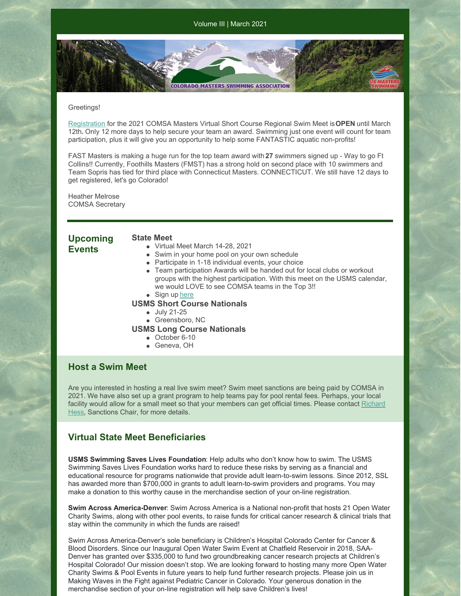#### Greetings!

[Registration](https://www.clubassistant.com/club/meet_information.cfm?c=1279&smid=13494) for the 2021 COMSA Masters Virtual Short Course Regional Swim Meet is**OPEN** until March 12th**.** Only 12 more days to help secure your team an award. Swimming just one event will count for team participation, plus it will give you an opportunity to help some FANTASTIC aquatic non-profits!

**COLORADO MASTERS SWIMMING ASSOCIATION** 

FAST Masters is making a huge run for the top team award with **27** swimmers signed up - Way to go Ft Collins!! Currently, Foothills Masters (FMST) has a strong hold on second place with 10 swimmers and Team Sopris has tied for third place with Connecticut Masters. CONNECTICUT. We still have 12 days to get registered, let's go Colorado!

Heather Melrose COMSA Secretary

# **Upcoming**

### **Events**

#### **State Meet**

- Virtual Meet March 14-28, 2021
	- Swim in your home pool on your own schedule
	- Participate in 1-18 individual events, your choice
	- Team participation Awards will be handed out for local clubs or workout groups with the highest participation. With this meet on the USMS calendar, we would LOVE to see COMSA teams in the Top 3!!
	- Sign up [here](https://www.clubassistant.com/club/meet_information.cfm?c=1279&smid=13494)

## **USMS Short Course Nationals**

- July 21-25
- Greensboro, NC
- **USMS Long Course Nationals**
	- October 6-10
	- Geneva, OH

# **Host a Swim Meet**

Are you interested in hosting a real live swim meet? Swim meet sanctions are being paid by COMSA in 2021. We have also set up a grant program to help teams pay for pool rental fees. Perhaps, your local facility would allow for a small meet so that your [members](mailto:rhess54321@aol.com) can get official times. Please contact Richard Hess, Sanctions Chair, for more details.

# **Virtual State Meet Beneficiaries**

**USMS Swimming Saves Lives Foundation**: Help adults who don't know how to swim. The USMS Swimming Saves Lives Foundation works hard to reduce these risks by serving as a financial and educational resource for programs nationwide that provide adult learn-to-swim lessons. Since 2012, SSL has awarded more than \$700,000 in grants to adult learn-to-swim providers and programs. You may make a donation to this worthy cause in the merchandise section of your on-line registration.

**Swim Across America-Denver**: Swim Across America is a National non-profit that hosts 21 Open Water Charity Swims, along with other pool events, to raise funds for critical cancer research & clinical trials that stay within the community in which the funds are raised!

Swim Across America-Denver's sole beneficiary is Children's Hospital Colorado Center for Cancer & Blood Disorders. Since our Inaugural Open Water Swim Event at Chatfield Reservoir in 2018, SAA-Denver has granted over \$335,000 to fund two groundbreaking cancer research projects at Children's Hospital Colorado! Our mission doesn't stop. We are looking forward to hosting many more Open Water Charity Swims & Pool Events in future years to help fund further research projects. Please join us in Making Waves in the Fight against Pediatric Cancer in Colorado. Your generous donation in the merchandise section of your on-line registration will help save Children's lives!